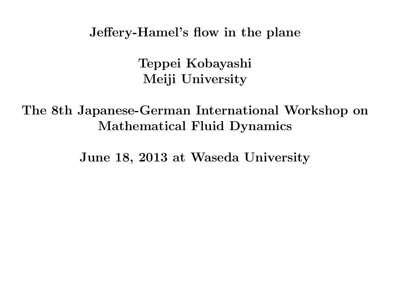**Jeffery-Hamel's flow in the plane**

**Teppei Kobayashi Meiji University**

**The 8th Japanese-German International Workshop on Mathematical Fluid Dynamics**

**June 18, 2013 at Waseda University**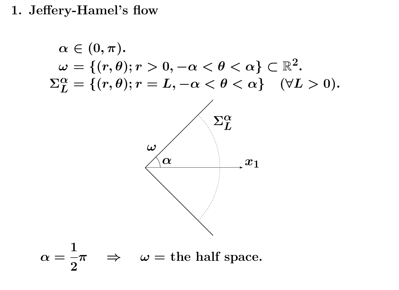**1. Jeffery-Hamel's flow**

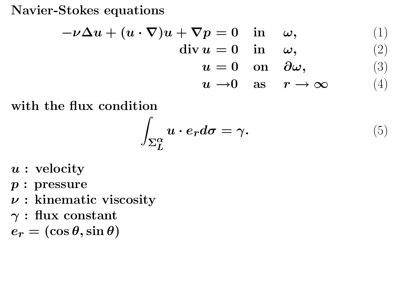**Navier-Stokes equations**

$$
-\nu \Delta u + (u \cdot \nabla)u + \nabla p = 0 \quad \text{in} \quad \omega,
$$
  
\n
$$
\text{div } u = 0 \quad \text{in} \quad \omega,
$$
  
\n
$$
u = 0 \quad \text{on} \quad \partial \omega,
$$
  
\n
$$
u \to 0 \quad \text{as} \quad r \to \infty
$$
  
\n(1)  
\n(2)  
\n
$$
u \to 0 \quad \text{as} \quad r \to \infty
$$

**with the flux condition**

$$
\int_{\Sigma_{L}^{\alpha}} u \cdot e_r d\sigma = \gamma.
$$
 (5)

- *u* **: velocity**
- *p* **: pressure**
- *ν* **: kinematic viscosity**
- *γ* **: flux constant**

 $e_r = (\cos \theta, \sin \theta)$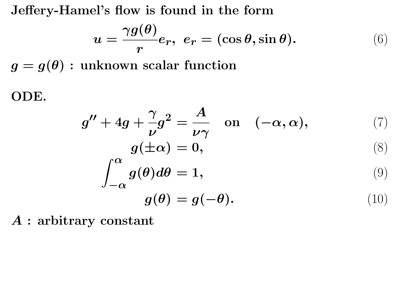**Jeffery-Hamel's flow is found in the form**

$$
u = \frac{\gamma g(\theta)}{r} e_r, \ e_r = (\cos \theta, \sin \theta). \tag{6}
$$

 $g = g(\theta)$ : unknown scalar function

**ODE.**

$$
g'' + 4g + \frac{\gamma}{\nu}g^2 = \frac{A}{\nu\gamma} \quad \text{on} \quad (-\alpha, \alpha), \tag{7}
$$

$$
g(\pm \alpha) = 0, \tag{8}
$$

$$
\int_{-\alpha}^{\alpha} g(\theta) d\theta = 1, \tag{9}
$$

$$
g(\theta) = g(-\theta). \tag{10}
$$

*A* **: arbitrary constant**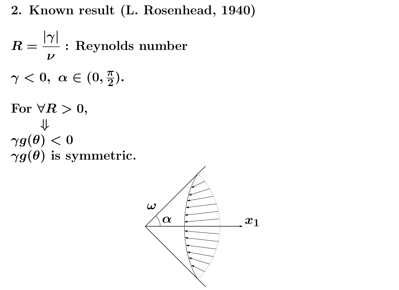**2. Known result (L. Rosenhead, 1940)**

$$
R = \frac{|\gamma|}{\nu} : \text{Reynolds number}
$$
  
\n
$$
\gamma < 0, \ \alpha \in (0, \frac{\pi}{2}).
$$
  
\nFor  $\forall R > 0$ ,  
\n
$$
\psi
$$
  
\n
$$
\gamma g(\theta) < 0
$$
  
\n
$$
\gamma g(\theta) \text{ is symmetric.}
$$

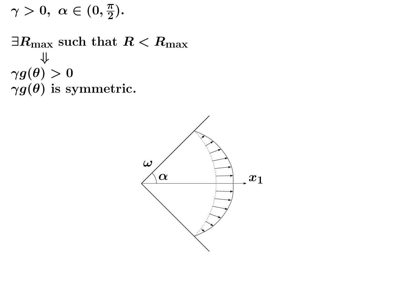$$
\gamma>0,\ \alpha\in(0,\tfrac{\pi}{2}).
$$

*∃R***max such that** *R < R***max** *⇓*  $\gamma g(\theta)>0$ *γg***(***θ***) is symmetric.**

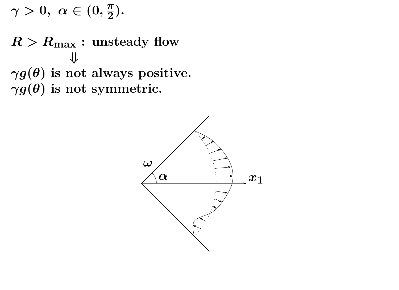$$
\gamma>0,\,\,\alpha\in(0,\tfrac{\pi}{2}).
$$

 $R > R_{\text{max}}$  : unsteady flow *⇓*  $\gamma g(\theta)$  is not always positive. *γg***(***θ***) is not symmetric.**

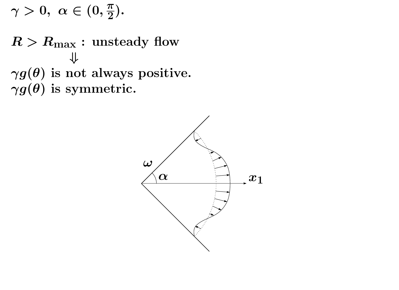$$
\gamma>0,\,\,\alpha\in(0,\tfrac{\pi}{2}).
$$

 $R > R_{\text{max}}$  : unsteady flow *⇓ γg***(***θ***) is not always positive.** *γg***(***θ***) is symmetric.**

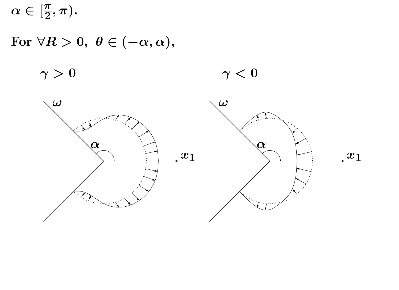$\alpha \in [\frac{\pi}{2}]$ **2** *, π***)***.*

# $For \ \forall R > 0, \ \theta \in (-\alpha, \alpha),$

 $\gamma > 0$   $\gamma < 0$ 

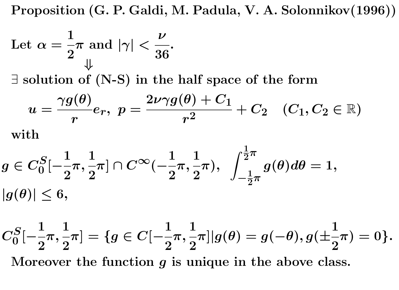**Proposition (G. P. Galdi, M. Padula, V. A. Solonnikov(1996))**

Let 
$$
\alpha = \frac{1}{2}\pi
$$
 and  $|\gamma| < \frac{\nu}{36}$ .

*∃* **solution of (N-S) in the half space of the form**

$$
u=\frac{\gamma g(\theta)}{r}e_r, \,\, p=\frac{2\nu\gamma g(\theta)+C_1}{r^2}+C_2\quad (C_1,C_2\in\mathbb{R})
$$
 with

$$
\begin{aligned} &g\in C_0^S[-\frac{1}{2}\pi,\frac{1}{2}\pi]\cap C^\infty(-\frac{1}{2}\pi,\frac{1}{2}\pi), \ \ \int_{-\frac{1}{2}\pi}^{\frac{1}{2}\pi}g(\theta)d\theta=1, \\ &|g(\theta)|\leq 6, \end{aligned}
$$

$$
C_0^S[-\frac{1}{2}\pi,\frac{1}{2}\pi] = \{g \in C[-\frac{1}{2}\pi,\frac{1}{2}\pi]|g(\theta) = g(-\theta), g(\pm\frac{1}{2}\pi) = 0\}.
$$
  
Moreover the function  $g$  is unique in the above class.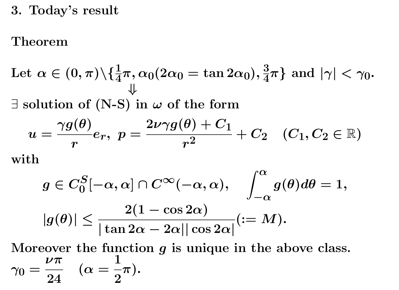**3. Today's result**

### **Theorem**

Let 
$$
\alpha \in (0, \pi) \setminus \{\frac{1}{4}\pi, \alpha_0(2\alpha_0 = \tan 2\alpha_0), \frac{3}{4}\pi\}
$$
 and  $|\gamma| < \gamma_0$ .  
\n $\exists$  solution of (N-S) in  $\omega$  of the form  
\n
$$
u = \frac{\gamma g(\theta)}{r} e_r, \ p = \frac{2\nu\gamma g(\theta) + C_1}{r^2} + C_2 \quad (C_1, C_2 \in \mathbb{R})
$$

**with**

$$
g\in C_0^S[-\alpha,\alpha]\cap C^\infty(-\alpha,\alpha),\quad \int_{-\alpha}^\alpha g(\theta)d\theta=1,\\ |g(\theta)|\leq \frac{2(1-\cos 2\alpha)}{|\tan 2\alpha-2\alpha||\cos 2\alpha|}(:=M).
$$

**Moreover the function** *g* **is unique in the above class.** *γ***0 =** *νπ* **24**  $(\alpha =$ **1 2** *π***)***.*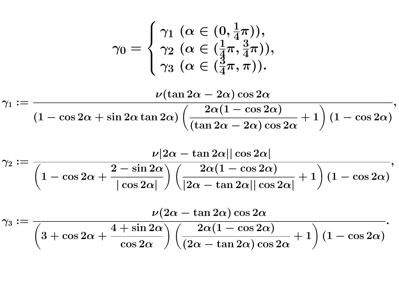$$
\gamma_0 = \begin{cases} \gamma_1 \ (\alpha \in (0, \frac{1}{4}\pi)), \\ \gamma_2 \ (\alpha \in (\frac{1}{4}\pi, \frac{3}{4}\pi)), \\ \gamma_3 \ (\alpha \in (\frac{3}{4}\pi, \pi)). \end{cases}
$$

$$
\nu(\tan 2\alpha - 2\alpha) \cos 2\alpha
$$

$$
\gamma_1:=\frac{\gamma_1\left(\frac{2\alpha(1-\cos2\alpha)}{1-\cos2\alpha+\sin2\alpha\tan2\alpha\right)\left(\frac{2\alpha(1-\cos2\alpha)}{(\tan2\alpha-2\alpha)\cos2\alpha}+1\right)(1-\cos2\alpha)},
$$

$$
\gamma_2:=\frac{\nu|2\alpha-\tan2\alpha||\cos2\alpha|}{\left(1-\cos2\alpha+\frac{2-\sin2\alpha}{|\cos2\alpha|}\right)\left(\frac{2\alpha(1-\cos2\alpha)}{|2\alpha-\tan2\alpha||\cos2\alpha|}+1\right)(1-\cos2\alpha)},
$$

$$
\gamma_3:=\frac{\nu(2\alpha-\tan{2\alpha})\cos{2\alpha}}{\left(3+\cos{2\alpha}+\frac{4+\sin{2\alpha}}{\cos{2\alpha}}\right)\left(\frac{2\alpha(1-\cos{2\alpha})}{(2\alpha-\tan{2\alpha})\cos{2\alpha}}+1\right)(1-\cos{2\alpha})}.
$$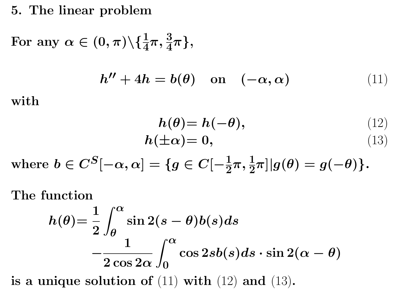## **5. The linear problem**

 $\text{For any } \alpha \in (0, \pi) \backslash \{\frac{1}{4}\}$ **4**  $\pi, \frac{3}{4}$ **4** *π}***,**

$$
h'' + 4h = b(\theta) \quad \text{on} \quad (-\alpha, \alpha) \tag{11}
$$

**with**

$$
h(\theta) = h(-\theta), \qquad (12)
$$
  

$$
h(\pm \alpha) = 0, \qquad (13)
$$

 $\text{where } b \in C^{S}[-\alpha, \alpha] = \{g \in C[-\frac{1}{2}]\}$ **2**  $\pi, \frac{1}{2}$ **2**  $\pi]|g(\theta)=g(-\theta)\}.$ 

**The function**

$$
h(\theta) = \frac{1}{2} \int_{\theta}^{\alpha} \sin 2(s - \theta) b(s) ds
$$

$$
- \frac{1}{2 \cos 2\alpha} \int_{0}^{\alpha} \cos 2sb(s) ds \cdot \sin 2(\alpha - \theta)
$$

is a unique solution of  $(11)$  with  $(12)$  and  $(13)$ **.**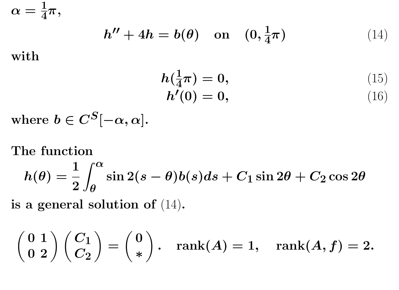$\alpha = \frac{1}{4}$ **4** *π***,**

$$
h'' + 4h = b(\theta) \quad \text{on} \quad (0, \frac{1}{4}\pi) \tag{14}
$$

**with**

$$
h(\frac{1}{4}\pi) = 0, \t\t(15) h'(0) = 0, \t\t(16)
$$

where  $b \in C^{S}[-\alpha, \alpha]$ .

### **The function**

$$
h(\theta)=\frac{1}{2}\int_\theta^\alpha \sin2(s-\theta)b(s)ds+C_1\sin2\theta+C_2\cos2\theta
$$

**is a general solution of** (14)**.**

$$
\left(\begin{array}{cc} 0 \ 1 \\ 0 \ 2 \end{array}\right)\left(\begin{array}{c} C_1 \\ C_2 \end{array}\right)=\left(\begin{array}{c} 0 \\ * \end{array}\right). \quad \text{rank}(A)=1, \quad \text{rank}(A,f)=2.
$$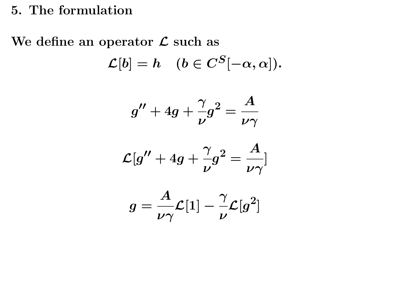### **5. The formulation**

### **We define an operator** *L* **such as**

$$
\mathcal{L}[b] = h \quad (b \in C^S[-\alpha, \alpha]).
$$

$$
g'' + 4g + \frac{\gamma}{\nu} g^2 = \frac{A}{\nu \gamma}
$$

$$
\mathcal{L}[g^{\prime\prime}+4g+\frac{\gamma}{\nu}g^2=\frac{A}{\nu\gamma}]
$$

$$
g=\frac{A}{\nu\gamma}\mathcal{L}[1]-\frac{\gamma}{\nu}\mathcal{L}[g^2]
$$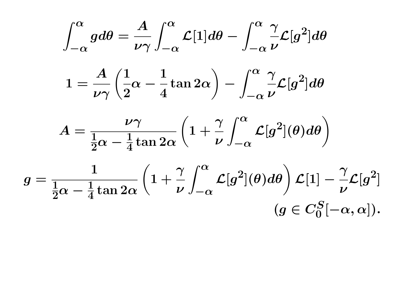$$
\int_{-\alpha}^{\alpha} g d\theta = \frac{A}{\nu \gamma} \int_{-\alpha}^{\alpha} \mathcal{L}[1] d\theta - \int_{-\alpha}^{\alpha} \frac{\gamma}{\nu} \mathcal{L}[g^2] d\theta
$$

$$
1 = \frac{A}{\nu \gamma} \left(\frac{1}{2}\alpha - \frac{1}{4}\tan 2\alpha\right) - \int_{-\alpha}^{\alpha} \frac{\gamma}{\nu} \mathcal{L}[g^2] d\theta
$$

$$
A = \frac{\nu \gamma}{\frac{1}{2}\alpha - \frac{1}{4}\tan 2\alpha} \left(1 + \frac{\gamma}{\nu} \int_{-\alpha}^{\alpha} \mathcal{L}[g^2](\theta) d\theta\right)
$$

$$
g = \frac{1}{\frac{1}{2}\alpha - \frac{1}{4}\tan 2\alpha} \left(1 + \frac{\gamma}{\nu} \int_{-\alpha}^{\alpha} \mathcal{L}[g^2](\theta) d\theta\right) \mathcal{L}[1] - \frac{\gamma}{\nu} \mathcal{L}[g^2]
$$

$$
(g \in C_0^S[-\alpha, \alpha]).
$$